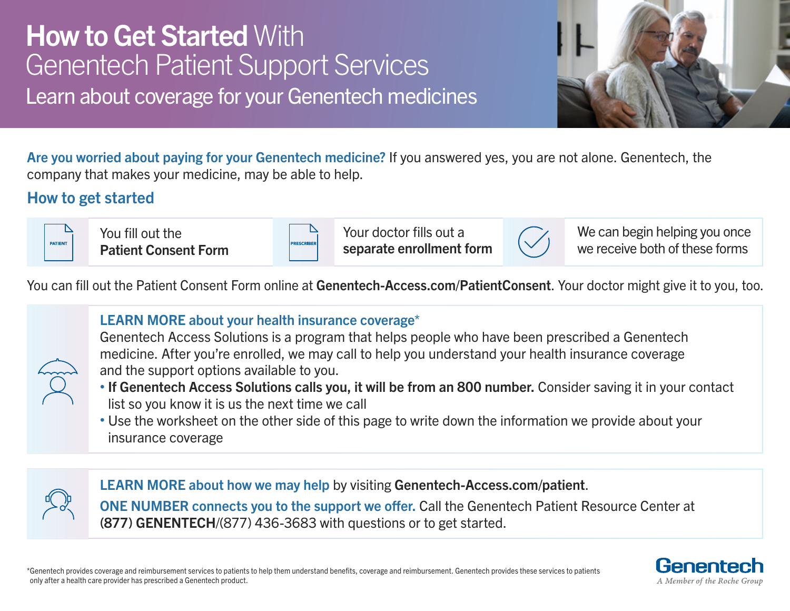# **How to Get Started With** Genentech Patient Support Services Learn about coverage for your Genentech medicines



Are you worried about paying for your Genentech medicine? If you answered yes, you are not alone. Genentech, the company that makes your medicine, may be able to help.

### How to get started

| <b>PATIENT</b> |  |
|----------------|--|
|                |  |

You fill out the Patient Consent Form

**RESCRIBE** 

Your doctor fills out a separate enrollment form



We can begin helping you once we receive both of these forms

You can fill out the Patient Consent Form online at Genentech-Access.com/PatientConsent. Your doctor might give it to you, too.



### LEARN MORE about your health insurance coverage\*

Genentech Access Solutions is a program that helps people who have been prescribed a Genentech medicine. After you're enrolled, we may call to help you understand your health insurance coverage and the support options available to you.

- If Genentech Access Solutions calls you, it will be from an 800 number. Consider saving it in your contact list so you know it is us the next time we call
- Use the worksheet on the other side of this page to write down the information we provide about your insurance coverage



LEARN MORE about how we may help by visiting Genentech-Access.com/patient. ONE NUMBER connects you to the support we offer. Call the Genentech Patient Resource Center at

(877) GENENTECH/(877) 436-3683 with questions or to get started.

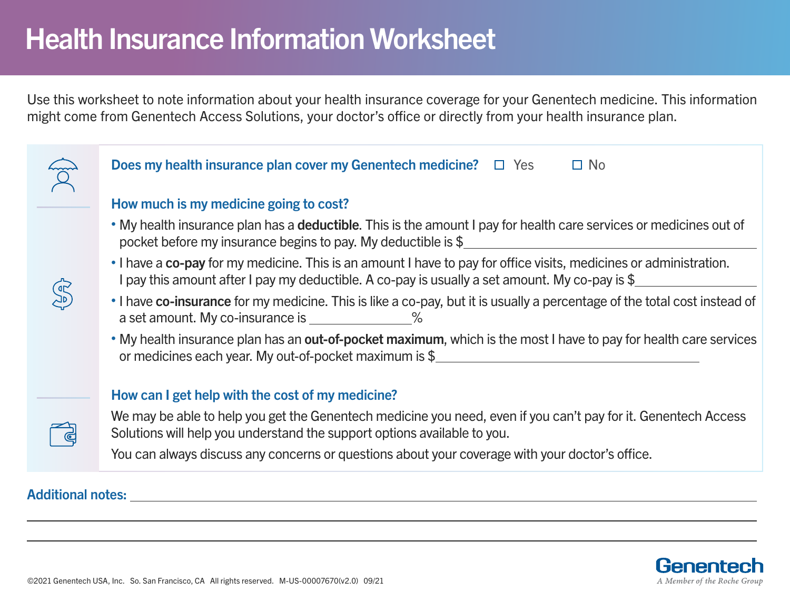# Health Insurance Information Worksheet

Use this worksheet to note information about your health insurance coverage for your Genentech medicine. This information might come from Genentech Access Solutions, your doctor's office or directly from your health insurance plan.

|  | <b>Does my health insurance plan cover my Genentech medicine?</b> $\Box$ Yes<br>$\Box$ No                                                                                                                            |
|--|----------------------------------------------------------------------------------------------------------------------------------------------------------------------------------------------------------------------|
|  | How much is my medicine going to cost?                                                                                                                                                                               |
|  | . My health insurance plan has a deductible. This is the amount I pay for health care services or medicines out of<br>pocket before my insurance begins to pay. My deductible is \$                                  |
|  | • I have a co-pay for my medicine. This is an amount I have to pay for office visits, medicines or administration.<br>I pay this amount after I pay my deductible. A co-pay is usually a set amount. My co-pay is \$ |
|  | • I have co-insurance for my medicine. This is like a co-pay, but it is usually a percentage of the total cost instead of<br>a set amount. My co-insurance is ______________%                                        |
|  | • My health insurance plan has an out-of-pocket maximum, which is the most I have to pay for health care services<br>or medicines each year. My out-of-pocket maximum is \$                                          |
|  | How can I get help with the cost of my medicine?                                                                                                                                                                     |
|  | We may be able to help you get the Genentech medicine you need, even if you can't pay for it. Genentech Access<br>Solutions will help you understand the support options available to you.                           |
|  | You can always discuss any concerns or questions about your coverage with your doctor's office.                                                                                                                      |

Additional notes:

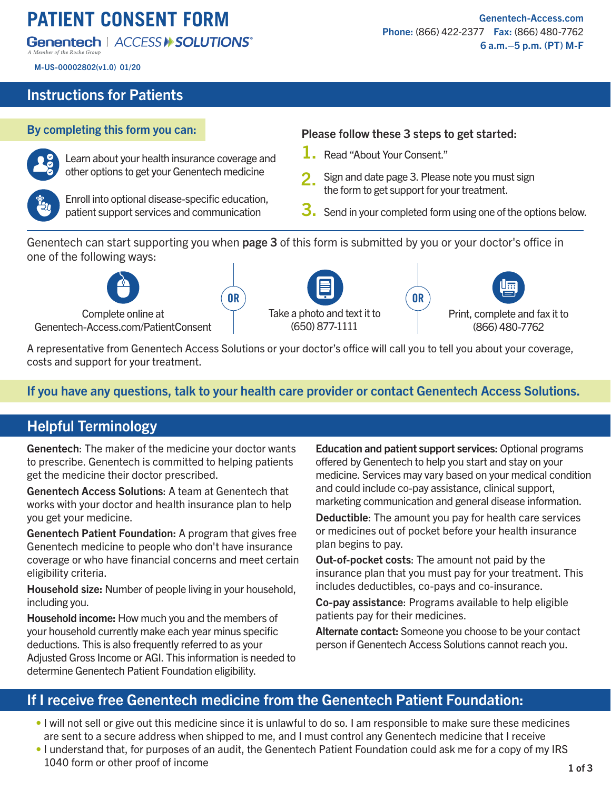# **PATIENT CONSENT FORM**

#### Genentech | ACCESS II SOLUTIONS®

M-US-00002802(v1.0) 01/20

#### Instructions for Patients



Learn about your health insurance coverage and other options to get your Genentech medicine



Enroll into optional disease-specific education, patient support services and communication

### By completing this form you can: Please follow these 3 steps to get started:

- 1. Read "About Your Consent."
- Sign and date page 3. Please note you must sign the form to get support for your treatment. 2.
- $3.$  Send in your completed form using one of the options below.

Genentech can start supporting you when page 3 of this form is submitted by you or your doctor's office in one of the following ways:



Take a photo and text it to (650) 877-1111 OR SOUTH AND CORPORATION OF SALE OF A SALE OF A SALE OF A SALE OF A SALE OF A SALE OF A SALE OF A SALE OF A SA



A representative from Genentech Access Solutions or your doctor's office will call you to tell you about your coverage, costs and support for your treatment.

#### If you have any questions, talk to your health care provider or contact Genentech Access Solutions.

#### Helpful Terminology

Genentech: The maker of the medicine your doctor wants to prescribe. Genentech is committed to helping patients get the medicine their doctor prescribed.

Genentech Access Solutions: A team at Genentech that works with your doctor and health insurance plan to help you get your medicine.

Genentech Patient Foundation: A program that gives free Genentech medicine to people who don't have insurance coverage or who have financial concerns and meet certain eligibility criteria.

Household size: Number of people living in your household, including you.

Household income: How much you and the members of your household currently make each year minus specific deductions. This is also frequently referred to as your Adjusted Gross Income or AGI. This information is needed to determine Genentech Patient Foundation eligibility.

Education and patient support services: Optional programs offered by Genentech to help you start and stay on your medicine. Services may vary based on your medical condition and could include co-pay assistance, clinical support, marketing communication and general disease information.

Deductible: The amount you pay for health care services or medicines out of pocket before your health insurance plan begins to pay.

Out-of-pocket costs: The amount not paid by the insurance plan that you must pay for your treatment. This includes deductibles, co-pays and co-insurance.

Co-pay assistance: Programs available to help eligible patients pay for their medicines.

Alternate contact: Someone you choose to be your contact person if Genentech Access Solutions cannot reach you.

#### If I receive free Genentech medicine from the Genentech Patient Foundation:

- I will not sell or give out this medicine since it is unlawful to do so. I am responsible to make sure these medicines are sent to a secure address when shipped to me, and I must control any Genentech medicine that I receive
- I understand that, for purposes of an audit, the Genentech Patient Foundation could ask me for a copy of my IRS 1040 form or other proof of income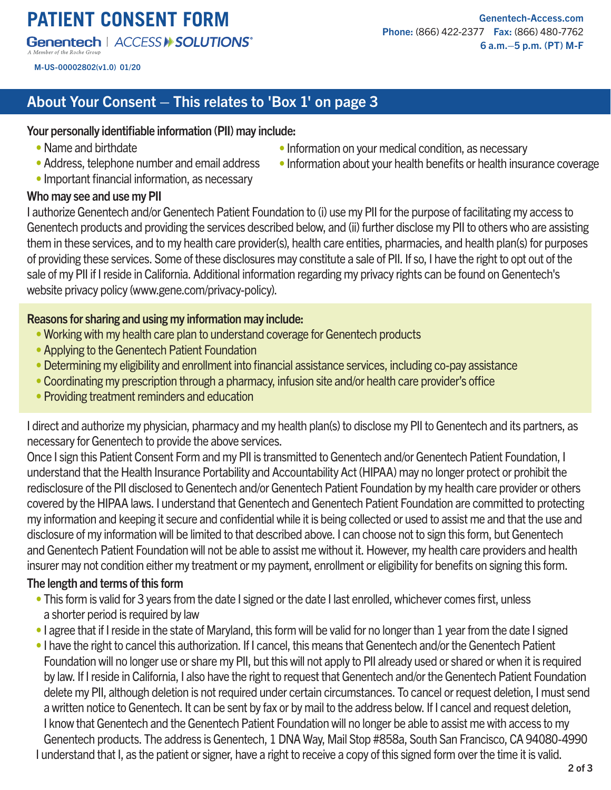## **PATIENT CONSENT FORM**

#### **Genentech | ACCESS > SOLUTIONS\***

M-US-00002802(v1.0) 01/20

[Genentech-Access.com](https://www.genentech-access.com) Phone: (866) 422-2377 Fax: (866) 480-7762 6 a.m.–5 p.m. (PT) M-F

• Information on your medical condition, as necessary

• Information about your health benefits or health insurance coverage

#### About Your Consent – This relates to 'Box 1' on page 3

#### Your personally identifiable information (PII) may include:

- Name and birthdate
- Address, telephone number and email address
- Important financial information, as necessary

#### Who may see and use my PII

I authorize Genentech and/or Genentech Patient Foundation to (i) use my PII for the purpose of facilitating my access to Genentech products and providing the services described below, and (ii) further disclose my PII to others who are assisting them in these services, and to my health care provider(s), health care entities, pharmacies, and health plan(s) for purposes of providing these services. Some of these disclosures may constitute a sale of PII. If so, I have the right to opt out of the sale of my PII if I reside in California. Additional information regarding my privacy rights can be found on Genentech's website privacy policy (www.gene.com/privacy-policy).

#### Reasons for sharing and using my information may include:

- Working with my health care plan to understand coverage for Genentech products
- Applying to the Genentech Patient Foundation
- Determining my eligibility and enrollment into financial assistance services, including co-pay assistance
- Coordinating my prescription through a pharmacy, infusion site and/or health care provider's office
- Providing treatment reminders and education

I direct and authorize my physician, pharmacy and my health plan(s) to disclose my PII to Genentech and its partners, as necessary for Genentech to provide the above services.

Once I sign this Patient Consent Form and my PII is transmitted to Genentech and/or Genentech Patient Foundation, I understand that the Health Insurance Portability and Accountability Act (HIPAA) may no longer protect or prohibit the redisclosure of the PII disclosed to Genentech and/or Genentech Patient Foundation by my health care provider or others covered by the HIPAA laws. I understand that Genentech and Genentech Patient Foundation are committed to protecting my information and keeping it secure and confidential while it is being collected or used to assist me and that the use and disclosure of my information will be limited to that described above. I can choose not to sign this form, but Genentech and Genentech Patient Foundation will not be able to assist me without it. However, my health care providers and health insurer may not condition either my treatment or my payment, enrollment or eligibility for benefits on signing this form.

#### The length and terms of this form

- This form is valid for 3 years from the date I signed or the date I last enrolled, whichever comes first, unless a shorter period is required by law
- I agree that if I reside in the state of Maryland, this form will be valid for no longer than 1 year from the date I signed
- I have the right to cancel this authorization. If I cancel, this means that Genentech and/or the Genentech Patient Foundation will no longer use or share my PII, but this will not apply to PII already used or shared or when it is required by law. If I reside in California, I also have the right to request that Genentech and/or the Genentech Patient Foundation delete my PII, although deletion is not required under certain circumstances. To cancel or request deletion, I must send a written notice to Genentech. It can be sent by fax or by mail to the address below. If I cancel and request deletion, I know that Genentech and the Genentech Patient Foundation will no longer be able to assist me with access to my Genentech products. The address is Genentech, 1 DNA Way, Mail Stop #858a, South San Francisco, CA 94080-4990 I understand that I, as the patient or signer, have a right to receive a copy of this signed form over the time it is valid.